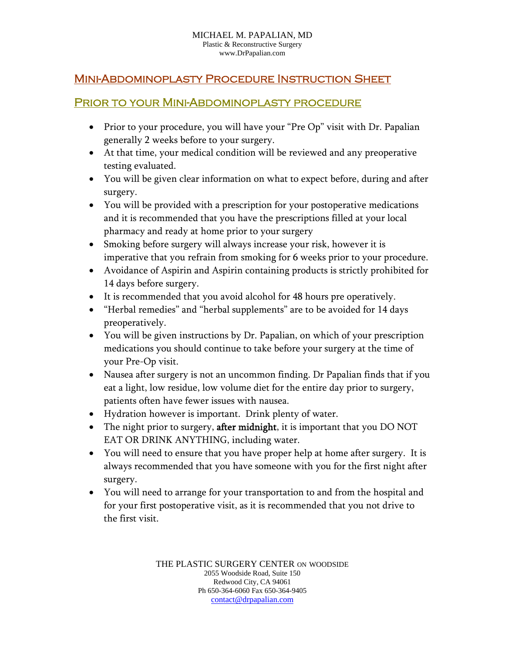#### MICHAEL M. PAPALIAN, MD Plastic & Reconstructive Surgery www.DrPapalian.com

## Mini-Abdominoplasty Procedure Instruction Sheet

#### Prior to your Mini-Abdominoplasty procedure

- Prior to your procedure, you will have your "Pre Op" visit with Dr. Papalian generally 2 weeks before to your surgery.
- At that time, your medical condition will be reviewed and any preoperative testing evaluated.
- You will be given clear information on what to expect before, during and after surgery.
- You will be provided with a prescription for your postoperative medications and it is recommended that you have the prescriptions filled at your local pharmacy and ready at home prior to your surgery
- Smoking before surgery will always increase your risk, however it is imperative that you refrain from smoking for 6 weeks prior to your procedure.
- Avoidance of Aspirin and Aspirin containing products is strictly prohibited for 14 days before surgery.
- It is recommended that you avoid alcohol for 48 hours pre operatively.
- "Herbal remedies" and "herbal supplements" are to be avoided for 14 days preoperatively.
- You will be given instructions by Dr. Papalian, on which of your prescription medications you should continue to take before your surgery at the time of your Pre-Op visit.
- Nausea after surgery is not an uncommon finding. Dr Papalian finds that if you eat a light, low residue, low volume diet for the entire day prior to surgery, patients often have fewer issues with nausea.
- Hydration however is important. Drink plenty of water.
- The night prior to surgery, **after midnight**, it is important that you DO NOT EAT OR DRINK ANYTHING, including water.
- You will need to ensure that you have proper help at home after surgery. It is always recommended that you have someone with you for the first night after surgery.
- You will need to arrange for your transportation to and from the hospital and for your first postoperative visit, as it is recommended that you not drive to the first visit.

THE PLASTIC SURGERY CENTER ON WOODSIDE 2055 Woodside Road, Suite 150 Redwood City, CA 94061 Ph 650-364-6060 Fax 650-364-9405 contact@drpapalian.com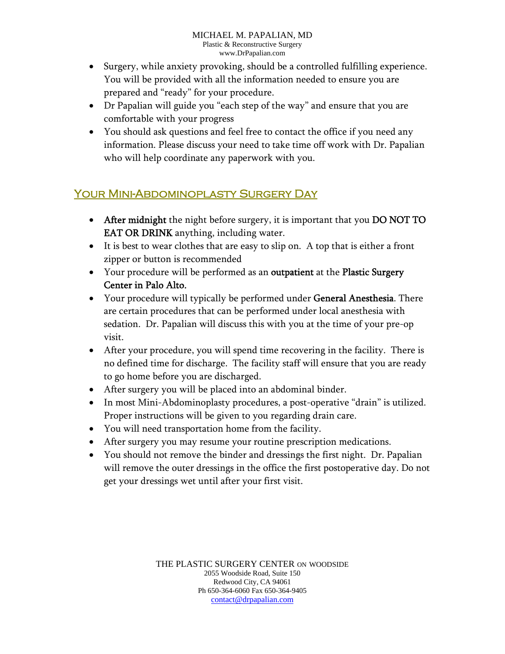- Surgery, while anxiety provoking, should be a controlled fulfilling experience. You will be provided with all the information needed to ensure you are prepared and "ready" for your procedure.
- Dr Papalian will guide you "each step of the way" and ensure that you are comfortable with your progress
- You should ask questions and feel free to contact the office if you need any information. Please discuss your need to take time off work with Dr. Papalian who will help coordinate any paperwork with you.

# Your Mini-Abdominoplasty Surgery Day

- After midnight the night before surgery, it is important that you DO NOT TO EAT OR DRINK anything, including water.
- It is best to wear clothes that are easy to slip on. A top that is either a front zipper or button is recommended
- Your procedure will be performed as an outpatient at the Plastic Surgery Center in Palo Alto.
- Your procedure will typically be performed under General Anesthesia. There are certain procedures that can be performed under local anesthesia with sedation. Dr. Papalian will discuss this with you at the time of your pre-op visit.
- After your procedure, you will spend time recovering in the facility. There is no defined time for discharge. The facility staff will ensure that you are ready to go home before you are discharged.
- After surgery you will be placed into an abdominal binder.
- In most Mini-Abdominoplasty procedures, a post-operative "drain" is utilized. Proper instructions will be given to you regarding drain care.
- You will need transportation home from the facility.
- After surgery you may resume your routine prescription medications.
- You should not remove the binder and dressings the first night. Dr. Papalian will remove the outer dressings in the office the first postoperative day. Do not get your dressings wet until after your first visit.

THE PLASTIC SURGERY CENTER ON WOODSIDE 2055 Woodside Road, Suite 150 Redwood City, CA 94061 Ph 650-364-6060 Fax 650-364-9405 contact@drpapalian.com